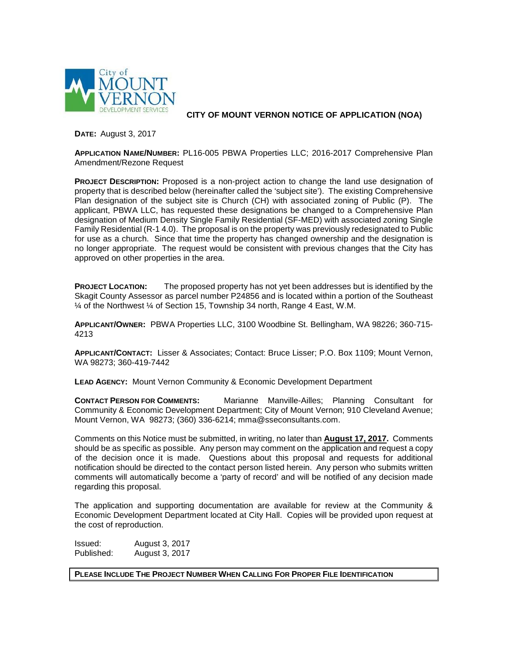

**CITY OF MOUNT VERNON NOTICE OF APPLICATION (NOA)**

**DATE:** August 3, 2017

**APPLICATION NAME/NUMBER:** PL16-005 PBWA Properties LLC; 2016-2017 Comprehensive Plan Amendment/Rezone Request

**PROJECT DESCRIPTION:** Proposed is a non-project action to change the land use designation of property that is described below (hereinafter called the 'subject site'). The existing Comprehensive Plan designation of the subject site is Church (CH) with associated zoning of Public (P). The applicant, PBWA LLC, has requested these designations be changed to a Comprehensive Plan designation of Medium Density Single Family Residential (SF-MED) with associated zoning Single Family Residential (R-1 4.0). The proposal is on the property was previously redesignated to Public for use as a church. Since that time the property has changed ownership and the designation is no longer appropriate. The request would be consistent with previous changes that the City has approved on other properties in the area.

**PROJECT LOCATION:** The proposed property has not yet been addresses but is identified by the Skagit County Assessor as parcel number P24856 and is located within a portion of the Southeast ¼ of the Northwest ¼ of Section 15, Township 34 north, Range 4 East, W.M.

**APPLICANT/OWNER:** PBWA Properties LLC, 3100 Woodbine St. Bellingham, WA 98226; 360-715- 4213

**APPLICANT/CONTACT:** Lisser & Associates; Contact: Bruce Lisser; P.O. Box 1109; Mount Vernon, WA 98273; 360-419-7442

**LEAD AGENCY:** Mount Vernon Community & Economic Development Department

**CONTACT PERSON FOR COMMENTS:** Marianne Manville-Ailles; Planning Consultant for Community & Economic Development Department; City of Mount Vernon; 910 Cleveland Avenue; Mount Vernon, WA 98273; (360) 336-6214; mma@sseconsultants.com.

Comments on this Notice must be submitted, in writing, no later than **August 17, 2017.** Comments should be as specific as possible. Any person may comment on the application and request a copy of the decision once it is made. Questions about this proposal and requests for additional notification should be directed to the contact person listed herein. Any person who submits written comments will automatically become a 'party of record' and will be notified of any decision made regarding this proposal.

The application and supporting documentation are available for review at the Community & Economic Development Department located at City Hall. Copies will be provided upon request at the cost of reproduction.

Issued: August 3, 2017 Published: August 3, 2017

**PLEASE INCLUDE THE PROJECT NUMBER WHEN CALLING FOR PROPER FILE IDENTIFICATION**